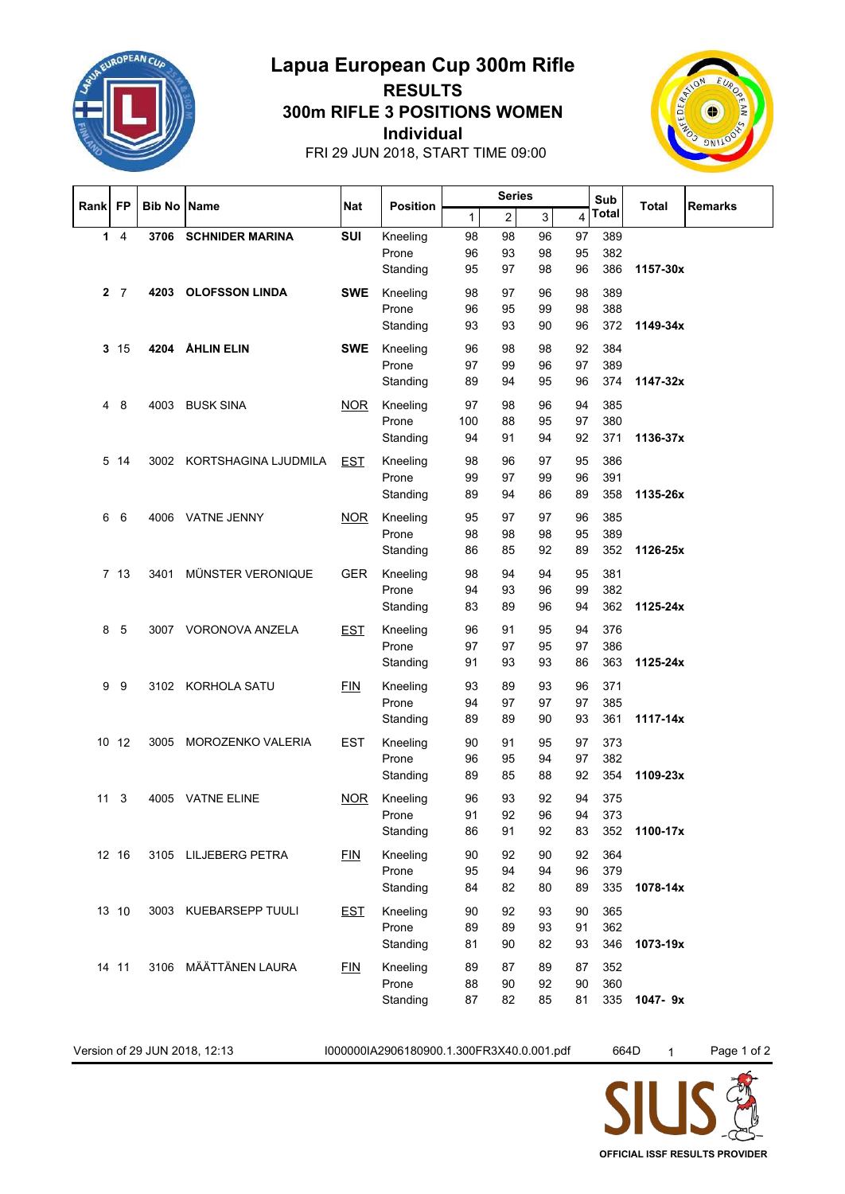

## **Individual 300m RIFLE 3 POSITIONS WOMEN Lapua European Cup 300m Rifle RESULTS**



FRI 29 JUN 2018, START TIME 09:00

|      | <b>FP</b>       | <b>Bib No</b> | Name                      | Nat        | <b>Position</b>   | <b>Series</b> |                         |          |          | Sub        |          |                |
|------|-----------------|---------------|---------------------------|------------|-------------------|---------------|-------------------------|----------|----------|------------|----------|----------------|
| Rank |                 |               |                           |            |                   | 1             | $\overline{\mathbf{c}}$ | 3        | 4        | Total      | Total    | <b>Remarks</b> |
| 1    | $\overline{4}$  | 3706          | <b>SCHNIDER MARINA</b>    | SUI        | Kneeling          | 98            | 98                      | 96       | 97       | 389        |          |                |
|      |                 |               |                           |            | Prone             | 96            | 93                      | 98       | 95       | 382        |          |                |
|      |                 |               |                           |            | Standing          | 95            | 97                      | 98       | 96       | 386        | 1157-30x |                |
|      | 2 <sub>7</sub>  | 4203          | <b>OLOFSSON LINDA</b>     | <b>SWE</b> | Kneeling          | 98            | 97                      | 96       | 98       | 389        |          |                |
|      |                 |               |                           |            | Prone             | 96            | 95                      | 99       | 98       | 388        |          |                |
|      |                 |               |                           |            | Standing          | 93            | 93                      | 90       | 96       | 372        | 1149-34x |                |
|      | 3 <sub>15</sub> |               | 4204 ÅHLIN ELIN           | <b>SWE</b> | Kneeling          | 96            | 98                      | 98       | 92       | 384        |          |                |
|      |                 |               |                           |            | Prone             | 97            | 99                      | 96       | 97       | 389        |          |                |
|      |                 |               |                           |            | Standing          | 89            | 94                      | 95       | 96       | 374        | 1147-32x |                |
| 4    | 8               | 4003          | <b>BUSK SINA</b>          | <b>NOR</b> | Kneeling          | 97            | 98                      | 96       | 94       | 385        |          |                |
|      |                 |               |                           |            | Prone             | 100           | 88                      | 95       | 97       | 380        |          |                |
|      |                 |               |                           |            | Standing          | 94            | 91                      | 94       | 92       | 371        | 1136-37x |                |
|      | 5 14            |               | 3002 KORTSHAGINA LJUDMILA | <b>EST</b> | Kneeling          | 98            | 96                      | 97       | 95       | 386        |          |                |
|      |                 |               |                           |            | Prone             | 99            | 97                      | 99       | 96       | 391        |          |                |
|      |                 |               |                           |            | Standing          | 89            | 94                      | 86       | 89       | 358        | 1135-26x |                |
| 6    | 6               | 4006          | <b>VATNE JENNY</b>        | <b>NOR</b> | Kneeling          | 95            | 97                      | 97       | 96       | 385        |          |                |
|      |                 |               |                           |            | Prone             | 98            | 98                      | 98       | 95       | 389        |          |                |
|      |                 |               |                           |            | Standing          | 86            | 85                      | 92       | 89       | 352        | 1126-25x |                |
|      |                 |               |                           |            |                   |               |                         |          |          |            |          |                |
|      | 7 13            | 3401          | MÜNSTER VERONIQUE         | <b>GER</b> | Kneeling<br>Prone | 98<br>94      | 94<br>93                | 94<br>96 | 95<br>99 | 381<br>382 |          |                |
|      |                 |               |                           |            | Standing          | 83            | 89                      | 96       | 94       | 362        | 1125-24x |                |
|      |                 |               |                           |            |                   |               |                         |          |          |            |          |                |
| 8    | 5               | 3007          | VORONOVA ANZELA           | <b>EST</b> | Kneeling          | 96            | 91                      | 95       | 94       | 376        |          |                |
|      |                 |               |                           |            | Prone<br>Standing | 97<br>91      | 97<br>93                | 95<br>93 | 97<br>86 | 386<br>363 | 1125-24x |                |
|      |                 |               |                           |            |                   |               |                         |          |          |            |          |                |
| 9    | 9               |               | 3102 KORHOLA SATU         | <b>FIN</b> | Kneeling          | 93            | 89                      | 93       | 96       | 371        |          |                |
|      |                 |               |                           |            | Prone<br>Standing | 94<br>89      | 97<br>89                | 97<br>90 | 97<br>93 | 385<br>361 | 1117-14x |                |
|      |                 |               |                           |            |                   |               |                         |          |          |            |          |                |
|      | 10 12           | 3005          | MOROZENKO VALERIA         | <b>EST</b> | Kneeling          | 90            | 91                      | 95       | 97       | 373        |          |                |
|      |                 |               |                           |            | Prone             | 96            | 95                      | 94       | 97       | 382        |          |                |
|      |                 |               |                           |            | Standing          | 89            | 85                      | 88       | 92       | 354        | 1109-23x |                |
| 11   | 3               | 4005          | <b>VATNE ELINE</b>        | <b>NOR</b> | Kneeling          | 96            | 93                      | 92       | 94       | 375        |          |                |
|      |                 |               |                           |            | Prone             | 91            | 92                      | 96       | 94       | 373        |          |                |
|      |                 |               |                           |            | Standing          | 86            | 91                      | 92       | 83       | 352        | 1100-17x |                |
|      | 12 16           |               | 3105 LILJEBERG PETRA      | FIN        | Kneeling          | 90            | 92                      | 90       | 92       | 364        |          |                |
|      |                 |               |                           |            | Prone             | 95            | 94                      | 94       | 96       | 379        |          |                |
|      |                 |               |                           |            | Standing          | 84            | 82                      | 80       | 89       | 335        | 1078-14x |                |
|      | 13 10           |               | 3003 KUEBARSEPP TUULI     | <b>EST</b> | Kneeling          | 90            | 92                      | 93       | 90       | 365        |          |                |
|      |                 |               |                           |            | Prone             | 89            | 89                      | 93       | 91       | 362        |          |                |
|      |                 |               |                           |            | Standing          | 81            | 90                      | 82       | 93       | 346        | 1073-19x |                |
|      | 14 11           |               | 3106 MÄÄTTÄNEN LAURA      | EIN        | Kneeling          | 89            | 87                      | 89       | 87       | 352        |          |                |
|      |                 |               |                           |            | Prone             | 88            | 90                      | 92       | 90       | 360        |          |                |
|      |                 |               |                           |            | Standing          | 87            | 82                      | 85       | 81       | 335        | 1047-9x  |                |

Version of 29 JUN 2018, 12:13 I000000IA2906180900.1.300FR3X40.0.001.pdf 664D 1 Page 1 of 2